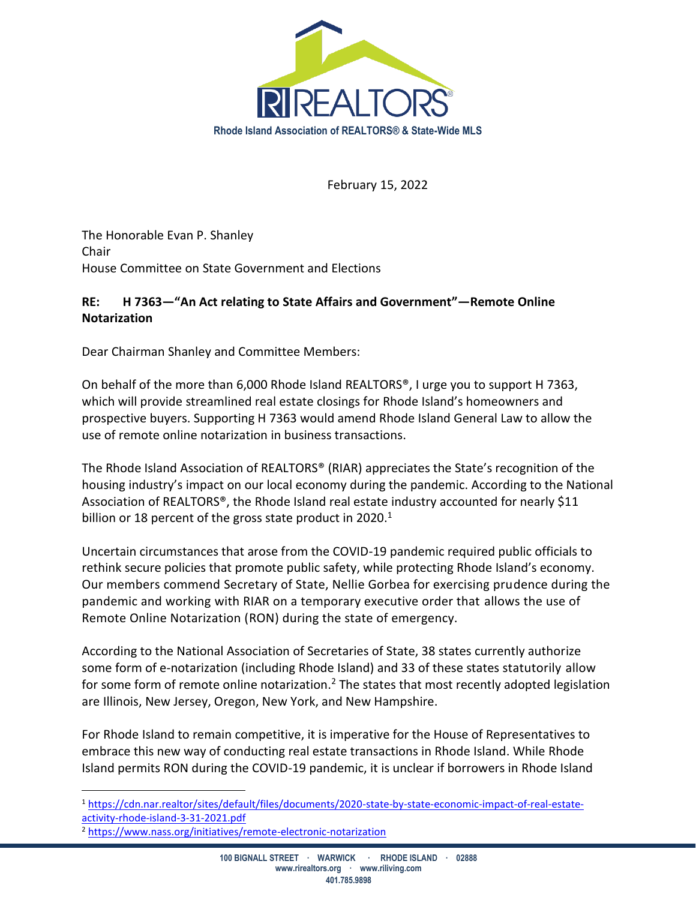

February 15, 2022

The Honorable Evan P. Shanley Chair House Committee on State Government and Elections

## **RE: H 7363—"An Act relating to State Affairs and Government"—Remote Online Notarization**

Dear Chairman Shanley and Committee Members:

On behalf of the more than 6,000 Rhode Island REALTORS®, I urge you to support H 7363, which will provide streamlined real estate closings for Rhode Island's homeowners and prospective buyers. Supporting H 7363 would amend Rhode Island General Law to allow the use of remote online notarization in business transactions.

The Rhode Island Association of REALTORS® (RIAR) appreciates the State's recognition of the housing industry's impact on our local economy during the pandemic. According to the National Association of REALTORS®, the Rhode Island real estate industry accounted for nearly \$11 billion or 18 percent of the gross state product in 2020.<sup>1</sup>

Uncertain circumstances that arose from the COVID-19 pandemic required public officials to rethink secure policies that promote public safety, while protecting Rhode Island's economy. Our members commend Secretary of State, Nellie Gorbea for exercising prudence during the pandemic and working with RIAR on a temporary executive order that allows the use of Remote Online Notarization (RON) during the state of emergency.

According to the National Association of Secretaries of State, 38 states currently authorize some form of e-notarization (including Rhode Island) and 33 of these states statutorily allow for some form of remote online notarization.<sup>2</sup> The states that most recently adopted legislation are Illinois, New Jersey, Oregon, New York, and New Hampshire.

For Rhode Island to remain competitive, it is imperative for the House of Representatives to embrace this new way of conducting real estate transactions in Rhode Island. While Rhode Island permits RON during the COVID-19 pandemic, it is unclear if borrowers in Rhode Island

<sup>1</sup> [https://cdn.nar.realtor/sites/default/files/documents/2020-state-by-state-economic-impact-of-real-estate](https://cdn.nar.realtor/sites/default/files/documents/2020-state-by-state-economic-impact-of-real-estate-activity-rhode-island-3-31-2021.pdf)[activity-rhode-island-3-31-2021.pdf](https://cdn.nar.realtor/sites/default/files/documents/2020-state-by-state-economic-impact-of-real-estate-activity-rhode-island-3-31-2021.pdf)

<sup>2</sup> <https://www.nass.org/initiatives/remote-electronic-notarization>